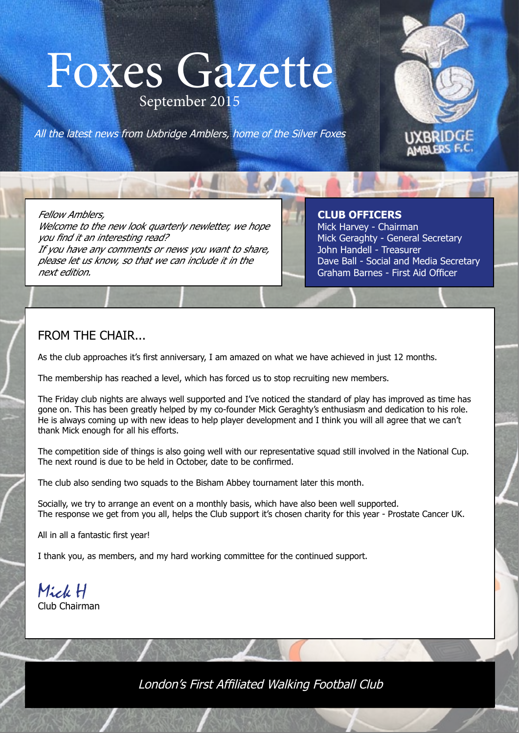## Foxes Gazette Foxes Gazette September 2015





 **CLUB OFFICERS CLUB OFFICERS** Mick Harvey - Chairman Mick Harvey - Chairman Mick Geraghty - General Secretary Mick Geraghty - General Secretary John Handell - Treasurer John Handell - Treasurer Dave Ball - Social and Media Secretary Dave Ball - Social and Media Secretary Graham Barnes - First Aid Officer Graham Barnes - First Aid Officer

UXBRIDGE<br>AMBLERS F.C.

### FROM THE CHAIR...

As the club approaches it's first anniversary, I am amazed on what we have achieved in just 12 months.

The membership has reached a level, which has forced us to stop recruiting new members.

The Friday club nights are always well supported and I've noticed the standard of play has improved as time has gone on. This has been greatly helped by my co-founder Mick Geraghty's enthusiasm and dedication to his role. He is always coming up with new ideas to help player development and I think you will all agree that we can't thank Mick enough for all his efforts.

The competition side of things is also going well with our representative squad still involved in the National Cup. The next round is due to be held in October, date to be confirmed.

The club also sending two squads to the Bisham Abbey tournament later this month.

Socially, we try to arrange an event on a monthly basis, which have also been well supported. The response we get from you all, helps the Club support it's chosen charity for this year - Prostate Cancer UK.

All in all a fantastic first year!

I thank you, as members, and my hard working committee for the continued support.

Mick H Club Chairman

London's First Affiliated Walking Football Club London's First Affiliated Walking Football Club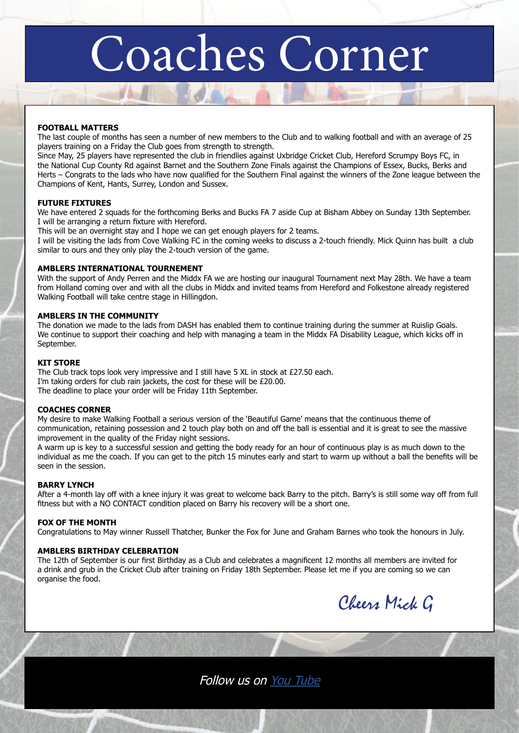# Coaches Corner

#### **FOOTBALL MATTERS**

The last couple of months has seen a number of new members to the Club and to walking football and with an average of 25 players training on a Friday the Club goes from strength to strength.

Since May, 25 players have represented the club in friendlies against Uxbridge Cricket Club, Hereford Scrumpy Boys FC, in the National Cup County Rd against Barnet and the Southern Zone Finals against the Champions of Essex, Bucks, Berks and Herts – Congrats to the lads who have now qualified for the Southern Final against the winners of the Zone league between the Champions of Kent, Hants, Surrey, London and Sussex.

#### **FUTURE FIXTURES**

We have entered 2 squads for the forthcoming Berks and Bucks FA 7 aside Cup at Bisham Abbey on Sunday 13th September. I will be arranging a return fixture with Hereford.

This will be an overnight stay and I hope we can get enough players for 2 teams.

I will be visiting the lads from Cove Walking FC in the coming weeks to discuss a 2-touch friendly. Mick Quinn has built a club similar to ours and they only play the 2-touch version of the game.

#### **AMBLERS INTERNATIONAL TOURNEMENT**

With the support of Andy Perren and the Middx FA we are hosting our inaugural Tournament next May 28th. We have a team from Holland coming over and with all the clubs in Middx and invited teams from Hereford and Folkestone already registered Walking Football will take centre stage in Hillingdon.

#### **AMBLERS IN THE COMMUNITY**

The donation we made to the lads from DASH has enabled them to continue training during the summer at Ruislip Goals. We continue to support their coaching and help with managing a team in the Middx FA Disability League, which kicks off in September.

#### **KIT STORE**

The Club track tops look very impressive and I still have 5 XL in stock at £27.50 each. I'm taking orders for club rain jackets, the cost for these will be £20.00. The deadline to place your order will be Friday 11th September.

#### **COACHES CORNER**

My desire to make Walking Football a serious version of the 'Beautiful Game' means that the continuous theme of communication, retaining possession and 2 touch play both on and off the ball is essential and it is great to see the massive improvement in the quality of the Friday night sessions.

A warm up is key to a successful session and getting the body ready for an hour of continuous play is as much down to the individual as me the coach. If you can get to the pitch 15 minutes early and start to warm up without a ball the benefits will be seen in the session.

#### **BARRY LYNCH**

After a 4-month lay off with a knee injury it was great to welcome back Barry to the pitch. Barry's is still some way off from full fitness but with a NO CONTACT condition placed on Barry his recovery will be a short one.

#### **FOX OF THE MONTH**

Congratulations to May winner Russell Thatcher, Bunker the Fox for June and Graham Barnes who took the honours in July.

#### **AMBLERS BIRTHDAY CELEBRATION**

The 12th of September is our first Birthday as a Club and celebrates a magnificent 12 months all members are invited for a drink and grub in the Cricket Club after training on Friday 18th September. Please let me if you are coming so we can organise the food.



Follow us on [You Tube](https://www.youtube.com/channel/UCRFWr8MKsxffFCXV0JQmhpg)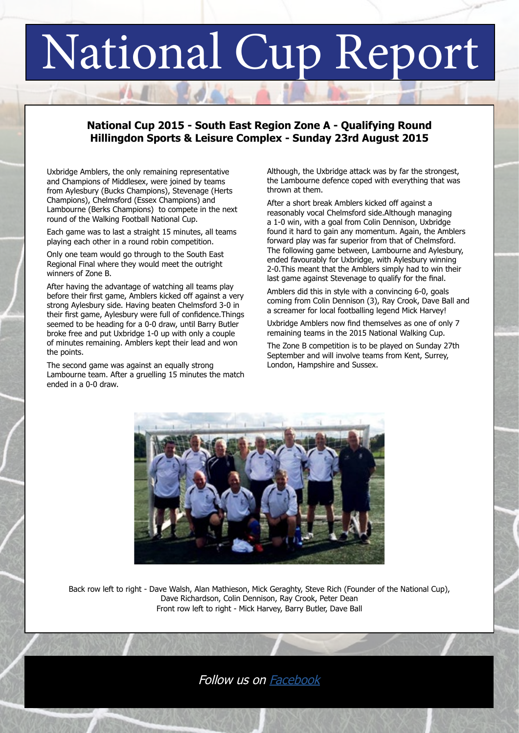# National Cup Report

### **National Cup 2015 - South East Region Zone A - Qualifying Round Hillingdon Sports & Leisure Complex - Sunday 23rd August 2015**

Uxbridge Amblers, the only remaining representative and Champions of Middlesex, were joined by teams from Aylesbury (Bucks Champions), Stevenage (Herts Champions), Chelmsford (Essex Champions) and Lambourne (Berks Champions) to compete in the next round of the Walking Football National Cup.

Each game was to last a straight 15 minutes, all teams playing each other in a round robin competition.

Only one team would go through to the South East Regional Final where they would meet the outright winners of Zone B.

After having the advantage of watching all teams play before their first game, Amblers kicked off against a very strong Aylesbury side. Having beaten Chelmsford 3-0 in their first game, Aylesbury were full of confidence.Things seemed to be heading for a 0-0 draw, until Barry Butler broke free and put Uxbridge 1-0 up with only a couple of minutes remaining. Amblers kept their lead and won the points.

The second game was against an equally strong Lambourne team. After a gruelling 15 minutes the match ended in a 0-0 draw.

Although, the Uxbridge attack was by far the strongest, the Lambourne defence coped with everything that was thrown at them.

After a short break Amblers kicked off against a reasonably vocal Chelmsford side.Although managing a 1-0 win, with a goal from Colin Dennison, Uxbridge found it hard to gain any momentum. Again, the Amblers forward play was far superior from that of Chelmsford. The following game between, Lambourne and Aylesbury, ended favourably for Uxbridge, with Aylesbury winning 2-0.This meant that the Amblers simply had to win their last game against Stevenage to qualify for the final.

Amblers did this in style with a convincing 6-0, goals coming from Colin Dennison (3), Ray Crook, Dave Ball and a screamer for local footballing legend Mick Harvey!

Uxbridge Amblers now find themselves as one of only 7 remaining teams in the 2015 National Walking Cup.

The Zone B competition is to be played on Sunday 27th September and will involve teams from Kent, Surrey, London, Hampshire and Sussex.



Back row left to right - Dave Walsh, Alan Mathieson, Mick Geraghty, Steve Rich (Founder of the National Cup), Dave Richardson, Colin Dennison, Ray Crook, Peter Dean Front row left to right - Mick Harvey, Barry Butler, Dave Ball

### Follow us on [Facebook](https://www.facebook.com/pages/Uxbridge-Amblers-Walking-Football-Club/957066220970291?ref=aymt_homepage_panel)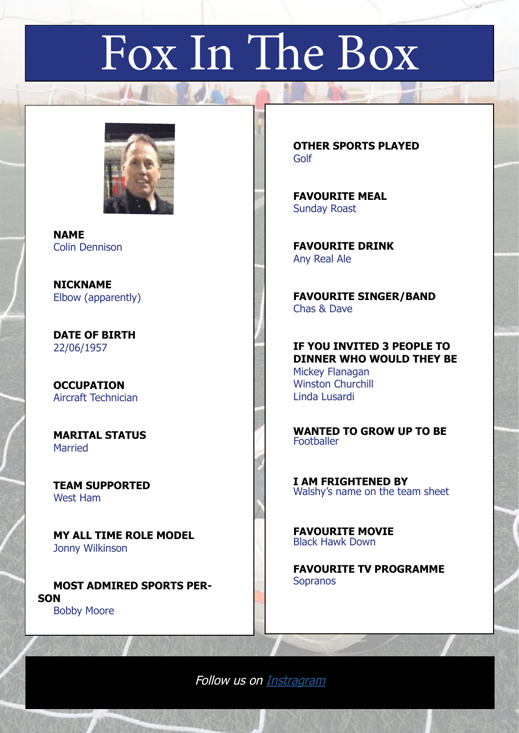# Fox In The Box



 **NAME** Colin Dennison

 **NICKNAME** Elbow (apparently)

 **DATE OF BIRTH** 22/06/1957

 **OCCUPATION** Aircraft Technician

 **MARITAL STATUS** Married

 **TEAM SUPPORTED** West Ham

 **MY ALL TIME ROLE MODEL**  Jonny Wilkinson

 **MOST ADMIRED SPORTS PER-SON** Bobby Moore

 **OTHER SPORTS PLAYED** Golf

 **FAVOURITE MEAL** Sunday Roast

 **FAVOURITE DRINK** Any Real Ale

 **FAVOURITE SINGER/BAND** Chas & Dave

 **IF YOU INVITED 3 PEOPLE TO DINNER WHO WOULD THEY BE** Mickey Flanagan Winston Churchill Linda Lusardi

 **WANTED TO GROW UP TO BE Footballer** 

 **I AM FRIGHTENED BY** Walshy's name on the team sheet

 **FAVOURITE MOVIE** Black Hawk Down

 **FAVOURITE TV PROGRAMME** Sopranos

Follow us on [Instragram](https://instagram.com/uxbridge_amblers/)